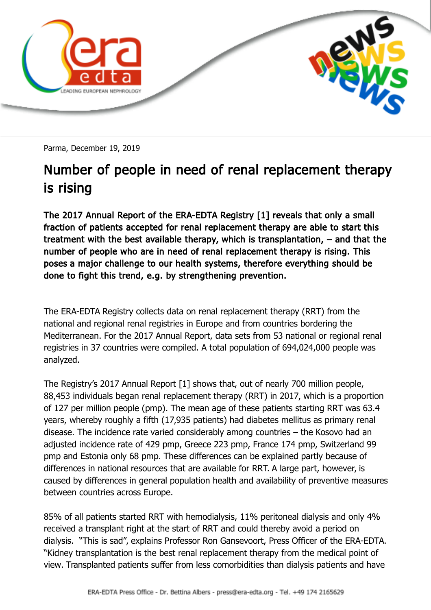

Parma, December 19, 2019

## Number of people in need of renal replacement therapy is rising

The 2017 Annual Report of the ERA-EDTA Registry [1] reveals that only a small fraction of patients accepted for renal replacement therapy are able to start this treatment with the best available therapy, which is transplantation, – and that the number of people who are in need of renal replacement therapy is rising. This poses a major challenge to our health systems, therefore everything should be done to fight this trend, e.g. by strengthening prevention.

The ERA-EDTA Registry collects data on renal replacement therapy (RRT) from the national and regional renal registries in Europe and from countries bordering the Mediterranean. For the 2017 Annual Report, data sets from 53 national or regional renal registries in 37 countries were compiled. A total population of 694,024,000 people was analyzed.

The Registry's 2017 Annual Report [1] shows that, out of nearly 700 million people, 88,453 individuals began renal replacement therapy (RRT) in 2017, which is a proportion of 127 per million people (pmp). The mean age of these patients starting RRT was 63.4 years, whereby roughly a fifth (17,935 patients) had diabetes mellitus as primary renal disease. The incidence rate varied considerably among countries – the Kosovo had an adjusted incidence rate of 429 pmp, Greece 223 pmp, France 174 pmp, Switzerland 99 pmp and Estonia only 68 pmp. These differences can be explained partly because of differences in national resources that are available for RRT. A large part, however, is caused by differences in general population health and availability of preventive measures between countries across Europe.

85% of all patients started RRT with hemodialysis, 11% peritoneal dialysis and only 4% received a transplant right at the start of RRT and could thereby avoid a period on dialysis. "This is sad", explains Professor Ron Gansevoort, Press Officer of the ERA-EDTA. "Kidney transplantation is the best renal replacement therapy from the medical point of view. Transplanted patients suffer from less comorbidities than dialysis patients and have